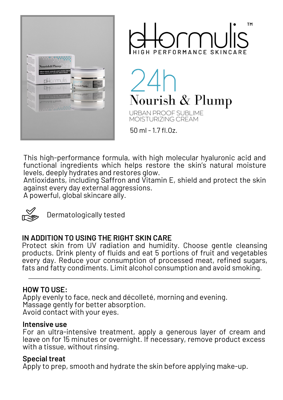



Nourish & Plump

URBAN PROOF SUBLIME MOISTURIZING CREAM

50 ml - 1.7 fl.Oz.

This high-performance formula, with high molecular hyaluronic acid and functional ingredients which helps restore the skin's natural moisture levels, deeply hydrates and restores glow.

Antioxidants, including Saffron and Vitamin E, shield and protect the skin against every day external aggressions.

A powerful, global skincare ally.



Dermatologically tested

# **IN ADDITION TO USING THE RIGHT SKIN CARE**

Protect skin from UV radiation and humidity. Choose gentle cleansing products. Drink plenty of fluids and eat 5 portions of fruit and vegetables every day. Reduce your consumption of processed meat, refined sugars, fats and fatty condiments. Limit alcohol consumption and avoid smoking.

## **HOW TO USE:**

Apply evenly to face, neck and décolleté, morning and evening. Massage gently for better absorption. Avoid contact with your eyes.

#### **Intensive use**

For an ultra-intensive treatment, apply a generous layer of cream and leave on for 15 minutes or overnight. If necessary, remove product excess with a tissue, without rinsing.

### **Special treat**

Apply to prep, smooth and hydrate the skin before applying make-up.